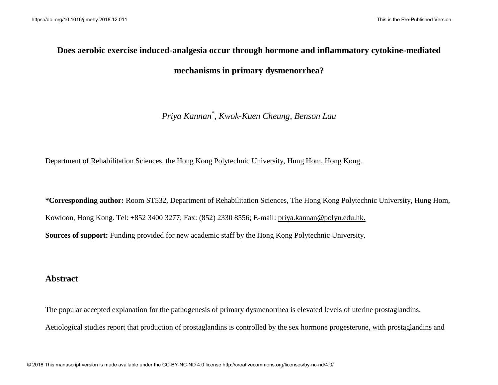# **Does aerobic exercise induced-analgesia occur through hormone and inflammatory cytokine-mediated mechanisms in primary dysmenorrhea?**

## *Priya Kannan\* , Kwok-Kuen Cheung, Benson Lau*

Department of Rehabilitation Sciences, the Hong Kong Polytechnic University, Hung Hom, Hong Kong.

**\*Corresponding author:** Room ST532, Department of Rehabilitation Sciences, The Hong Kong Polytechnic University, Hung Hom, Kowloon, Hong Kong. Tel: +852 3400 3277; Fax: (852) 2330 8556; E-mail: [priya.kannan@polyu.edu.hk.](mailto:priya.kannan@polyu.edu.hk) **Sources of support:** Funding provided for new academic staff by the Hong Kong Polytechnic University.

## **Abstract**

The popular accepted explanation for the pathogenesis of primary dysmenorrhea is elevated levels of uterine prostaglandins. Aetiological studies report that production of prostaglandins is controlled by the sex hormone progesterone, with prostaglandins and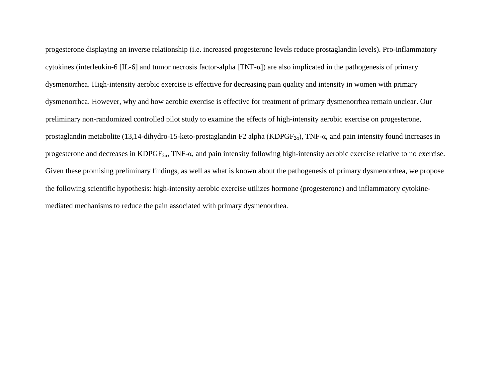progesterone displaying an inverse relationship (i.e. increased progesterone levels reduce prostaglandin levels). Pro-inflammatory cytokines (interleukin-6 [IL-6] and tumor necrosis factor-alpha [TNF- $\alpha$ ]) are also implicated in the pathogenesis of primary dysmenorrhea. High-intensity aerobic exercise is effective for decreasing pain quality and intensity in women with primary dysmenorrhea. However, why and how aerobic exercise is effective for treatment of primary dysmenorrhea remain unclear. Our preliminary non-randomized controlled pilot study to examine the effects of high-intensity aerobic exercise on progesterone, prostaglandin metabolite (13,14-dihydro-15-keto-prostaglandin F2 alpha (KDPGF<sub>2α</sub>), TNF- $\alpha$ , and pain intensity found increases in progesterone and decreases in KDPGF<sub>2 $\alpha$ </sub>, TNF- $\alpha$ , and pain intensity following high-intensity aerobic exercise relative to no exercise. Given these promising preliminary findings, as well as what is known about the pathogenesis of primary dysmenorrhea, we propose the following scientific hypothesis: high-intensity aerobic exercise utilizes hormone (progesterone) and inflammatory cytokinemediated mechanisms to reduce the pain associated with primary dysmenorrhea.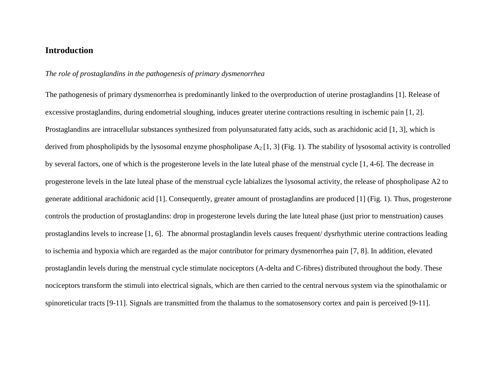## **Introduction**

#### *The role of prostaglandins in the pathogenesis of primary dysmenorrhea*

The pathogenesis of primary dysmenorrhea is predominantly linked to the overproduction of uterine prostaglandins [1]. Release of excessive prostaglandins, during endometrial sloughing, induces greater uterine contractions resulting in ischemic pain [1, 2]. Prostaglandins are intracellular substances synthesized from polyunsaturated fatty acids, such as arachidonic acid [1, 3], which is derived from phospholipids by the lysosomal enzyme phospholipase  $A_2$  [1, 3] (Fig. 1). The stability of lysosomal activity is controlled by several factors, one of which is the progesterone levels in the late luteal phase of the menstrual cycle [1, 4-6]. The decrease in progesterone levels in the late luteal phase of the menstrual cycle labializes the lysosomal activity, the release of phospholipase A2 to generate additional arachidonic acid [1]. Consequently, greater amount of prostaglandins are produced [1] (Fig. 1). Thus, progesterone controls the production of prostaglandins: drop in progesterone levels during the late luteal phase (just prior to menstruation) causes prostaglandins levels to increase [1, 6]. The abnormal prostaglandin levels causes frequent/ dysrhythmic uterine contractions leading to ischemia and hypoxia which are regarded as the major contributor for primary dysmenorrhea pain [7, 8]. In addition, elevated prostaglandin levels during the menstrual cycle stimulate nociceptors (A-delta and C-fibres) distributed throughout the body. These nociceptors transform the stimuli into electrical signals, which are then carried to the central nervous system via the spinothalamic or spinoreticular tracts [9-11]. Signals are transmitted from the thalamus to the somatosensory cortex and pain is perceived [9-11].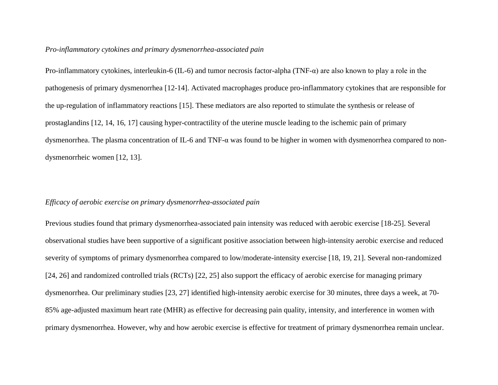#### *Pro-inflammatory cytokines and primary dysmenorrhea-associated pain*

Pro-inflammatory cytokines, interleukin-6 (IL-6) and tumor necrosis factor-alpha (TNF- $\alpha$ ) are also known to play a role in the pathogenesis of primary dysmenorrhea [12-14]. Activated macrophages produce pro-inflammatory cytokines that are responsible for the up-regulation of inflammatory reactions [15]. These mediators are also reported to stimulate the synthesis or release of prostaglandins [12, 14, 16, 17] causing hyper-contractility of the uterine muscle leading to the ischemic pain of primary dysmenorrhea. The plasma concentration of IL-6 and TNF-α was found to be higher in women with dysmenorrhea compared to nondysmenorrheic women [12, 13].

#### *Efficacy of aerobic exercise on primary dysmenorrhea-associated pain*

Previous studies found that primary dysmenorrhea-associated pain intensity was reduced with aerobic exercise [18-25]. Several observational studies have been supportive of a significant positive association between high-intensity aerobic exercise and reduced severity of symptoms of primary dysmenorrhea compared to low/moderate-intensity exercise [18, 19, 21]. Several non-randomized [24, 26] and randomized controlled trials (RCTs) [22, 25] also support the efficacy of aerobic exercise for managing primary dysmenorrhea. Our preliminary studies [23, 27] identified high-intensity aerobic exercise for 30 minutes, three days a week, at 70- 85% age-adjusted maximum heart rate (MHR) as effective for decreasing pain quality, intensity, and interference in women with primary dysmenorrhea. However, why and how aerobic exercise is effective for treatment of primary dysmenorrhea remain unclear.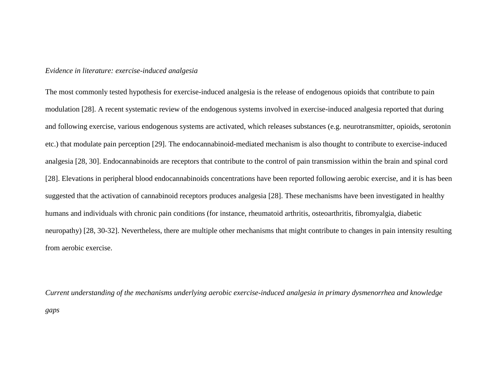#### *Evidence in literature: exercise-induced analgesia*

The most commonly tested hypothesis for exercise-induced analgesia is the release of endogenous opioids that contribute to pain modulation [28]. A recent systematic review of the endogenous systems involved in exercise-induced analgesia reported that during and following exercise, various endogenous systems are activated, which releases substances (e.g. neurotransmitter, opioids, serotonin etc.) that modulate pain perception [29]. The endocannabinoid-mediated mechanism is also thought to contribute to exercise-induced analgesia [28, 30]. Endocannabinoids are receptors that contribute to the control of pain transmission within the brain and spinal cord [28]. Elevations in peripheral blood endocannabinoids concentrations have been reported following aerobic exercise, and it is has been suggested that the activation of cannabinoid receptors produces analgesia [28]. These mechanisms have been investigated in healthy humans and individuals with chronic pain conditions (for instance, rheumatoid arthritis, osteoarthritis, fibromyalgia, diabetic neuropathy) [28, 30-32]. Nevertheless, there are multiple other mechanisms that might contribute to changes in pain intensity resulting from aerobic exercise.

*Current understanding of the mechanisms underlying aerobic exercise-induced analgesia in primary dysmenorrhea and knowledge gaps*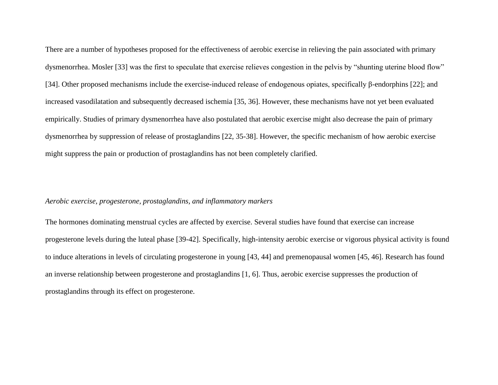There are a number of hypotheses proposed for the effectiveness of aerobic exercise in relieving the pain associated with primary dysmenorrhea. Mosler [33] was the first to speculate that exercise relieves congestion in the pelvis by "shunting uterine blood flow" [34]. Other proposed mechanisms include the exercise-induced release of endogenous opiates, specifically β-endorphins [22]; and increased vasodilatation and subsequently decreased ischemia [35, 36]. However, these mechanisms have not yet been evaluated empirically. Studies of primary dysmenorrhea have also postulated that aerobic exercise might also decrease the pain of primary dysmenorrhea by suppression of release of prostaglandins [22, 35-38]. However, the specific mechanism of how aerobic exercise might suppress the pain or production of prostaglandins has not been completely clarified.

#### *Aerobic exercise, progesterone, prostaglandins, and inflammatory markers*

The hormones dominating menstrual cycles are affected by exercise. Several studies have found that exercise can increase progesterone levels during the luteal phase [39-42]. Specifically, high-intensity aerobic exercise or vigorous physical activity is found to induce alterations in levels of circulating progesterone in young [43, 44] and premenopausal women [45, 46]. Research has found an inverse relationship between progesterone and prostaglandins [1, 6]. Thus, aerobic exercise suppresses the production of prostaglandins through its effect on progesterone.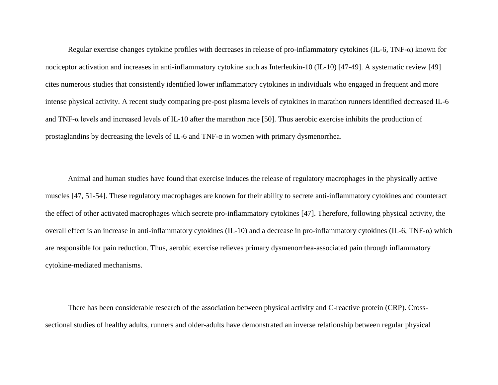Regular exercise changes cytokine profiles with decreases in release of pro-inflammatory cytokines (IL-6, TNF-α) known for nociceptor activation and increases in anti-inflammatory cytokine such as Interleukin-10 (IL-10) [47-49]. A systematic review [49] cites numerous studies that consistently identified lower inflammatory cytokines in individuals who engaged in frequent and more intense physical activity. A recent study comparing pre-post plasma levels of cytokines in marathon runners identified decreased IL-6 and TNF-α levels and increased levels of IL-10 after the marathon race [50]. Thus aerobic exercise inhibits the production of prostaglandins by decreasing the levels of IL-6 and TNF- $\alpha$  in women with primary dysmenorrhea.

Animal and human studies have found that exercise induces the release of regulatory macrophages in the physically active muscles [47, 51-54]. These regulatory macrophages are known for their ability to secrete anti-inflammatory cytokines and counteract the effect of other activated macrophages which secrete pro-inflammatory cytokines [47]. Therefore, following physical activity, the overall effect is an increase in anti-inflammatory cytokines (IL-10) and a decrease in pro-inflammatory cytokines (IL-6, TNF-α) which are responsible for pain reduction. Thus, aerobic exercise relieves primary dysmenorrhea-associated pain through inflammatory cytokine-mediated mechanisms.

There has been considerable research of the association between physical activity and C-reactive protein (CRP). Crosssectional studies of healthy adults, runners and older-adults have demonstrated an inverse relationship between regular physical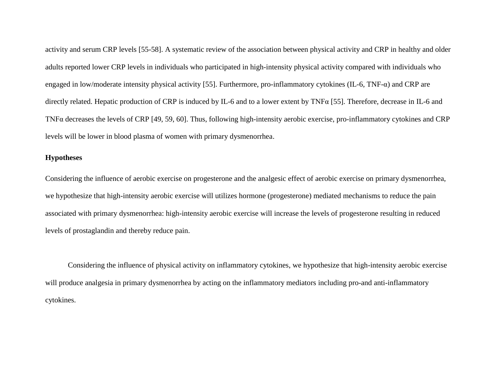activity and serum CRP levels [55-58]. A systematic review of the association between physical activity and CRP in healthy and older adults reported lower CRP levels in individuals who participated in high-intensity physical activity compared with individuals who engaged in low/moderate intensity physical activity [55]. Furthermore, pro-inflammatory cytokines (IL-6, TNF-α) and CRP are directly related. Hepatic production of CRP is induced by IL-6 and to a lower extent by TNFα [55]. Therefore, decrease in IL-6 and TNFα decreases the levels of CRP [49, 59, 60]. Thus, following high-intensity aerobic exercise, pro-inflammatory cytokines and CRP levels will be lower in blood plasma of women with primary dysmenorrhea.

#### **Hypotheses**

Considering the influence of aerobic exercise on progesterone and the analgesic effect of aerobic exercise on primary dysmenorrhea, we hypothesize that high-intensity aerobic exercise will utilizes hormone (progesterone) mediated mechanisms to reduce the pain associated with primary dysmenorrhea: high-intensity aerobic exercise will increase the levels of progesterone resulting in reduced levels of prostaglandin and thereby reduce pain.

Considering the influence of physical activity on inflammatory cytokines, we hypothesize that high-intensity aerobic exercise will produce analgesia in primary dysmenorrhea by acting on the inflammatory mediators including pro-and anti-inflammatory cytokines.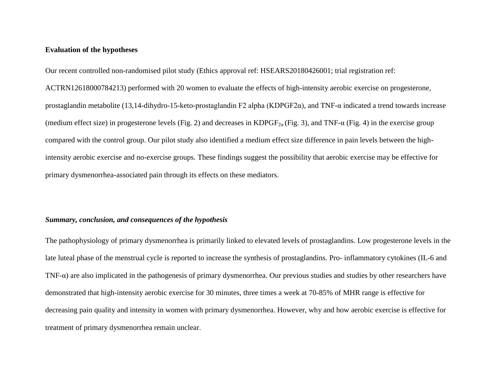#### **Evaluation of the hypotheses**

Our recent controlled non-randomised pilot study (Ethics approval ref: HSEARS20180426001; trial registration ref: ACTRN12618000784213) performed with 20 women to evaluate the effects of high-intensity aerobic exercise on progesterone, prostaglandin metabolite (13,14-dihydro-15-keto-prostaglandin F2 alpha (KDPGF2 $\alpha$ ), and TNF- $\alpha$  indicated a trend towards increase (medium effect size) in progesterone levels (Fig. 2) and decreases in KDPGF<sub>2α</sub> (Fig. 3), and TNF- $\alpha$  (Fig. 4) in the exercise group compared with the control group. Our pilot study also identified a medium effect size difference in pain levels between the highintensity aerobic exercise and no-exercise groups. These findings suggest the possibility that aerobic exercise may be effective for primary dysmenorrhea-associated pain through its effects on these mediators.

#### *Summary, conclusion, and consequences of the hypothesis*

The pathophysiology of primary dysmenorrhea is primarily linked to elevated levels of prostaglandins. Low progesterone levels in the late luteal phase of the menstrual cycle is reported to increase the synthesis of prostaglandins. Pro- inflammatory cytokines (IL-6 and TNF- $\alpha$ ) are also implicated in the pathogenesis of primary dysmenorrhea. Our previous studies and studies by other researchers have demonstrated that high-intensity aerobic exercise for 30 minutes, three times a week at 70-85% of MHR range is effective for decreasing pain quality and intensity in women with primary dysmenorrhea. However, why and how aerobic exercise is effective for treatment of primary dysmenorrhea remain unclear.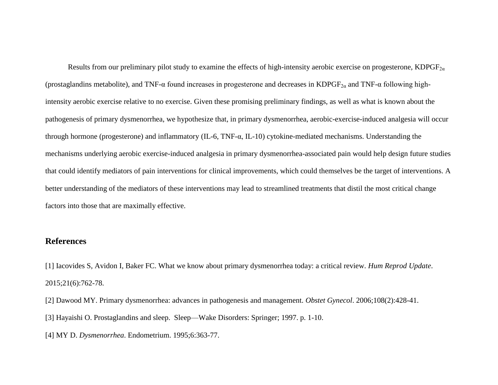Results from our preliminary pilot study to examine the effects of high-intensity aerobic exercise on progesterone, KDPGF<sub>2a</sub> (prostaglandins metabolite), and TNF- $\alpha$  found increases in progesterone and decreases in KDPGF<sub>2 $\alpha$ </sub> and TNF- $\alpha$  following highintensity aerobic exercise relative to no exercise. Given these promising preliminary findings, as well as what is known about the pathogenesis of primary dysmenorrhea, we hypothesize that, in primary dysmenorrhea, aerobic-exercise-induced analgesia will occur through hormone (progesterone) and inflammatory (IL-6, TNF-α, IL-10) cytokine-mediated mechanisms. Understanding the mechanisms underlying aerobic exercise-induced analgesia in primary dysmenorrhea-associated pain would help design future studies that could identify mediators of pain interventions for clinical improvements, which could themselves be the target of interventions. A better understanding of the mediators of these interventions may lead to streamlined treatments that distil the most critical change factors into those that are maximally effective.

## **References**

[1] Iacovides S, Avidon I, Baker FC. What we know about primary dysmenorrhea today: a critical review. *Hum Reprod Update*. 2015;21(6):762-78.

- [2] Dawood MY. Primary dysmenorrhea: advances in pathogenesis and management. *Obstet Gynecol*. 2006;108(2):428-41.
- [3] Hayaishi O. Prostaglandins and sleep. Sleep—Wake Disorders: Springer; 1997. p. 1-10.
- [4] MY D. *Dysmenorrhea*. Endometrium. 1995;6:363-77.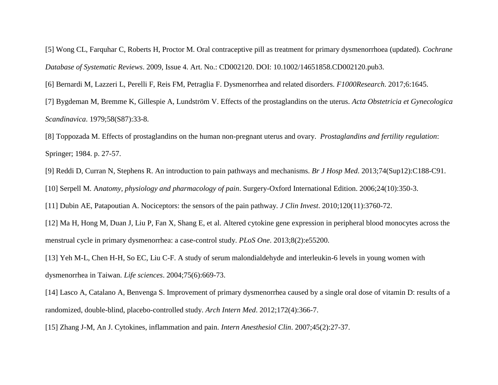[5] Wong CL, Farquhar C, Roberts H, Proctor M. Oral contraceptive pill as treatment for primary dysmenorrhoea (updated). *Cochrane Database of Systematic Reviews*. 2009, Issue 4. Art. No.: CD002120. DOI: 10.1002/14651858.CD002120.pub3.

[6] Bernardi M, Lazzeri L, Perelli F, Reis FM, Petraglia F. Dysmenorrhea and related disorders. *F1000Research*. 2017;6:1645.

[7] Bygdeman M, Bremme K, Gillespie A, Lundström V. Effects of the prostaglandins on the uterus. *Acta Obstetricia et Gynecologica Scandinavica*. 1979;58(S87):33-8.

[8] Toppozada M. Effects of prostaglandins on the human non-pregnant uterus and ovary. *Prostaglandins and fertility regulation*: Springer; 1984. p. 27-57.

[9] Reddi D, Curran N, Stephens R. An introduction to pain pathways and mechanisms. *Br J Hosp Med*. 2013;74(Sup12):C188-C91.

[10] Serpell M. A*natomy, physiology and pharmacology of pain*. Surgery-Oxford International Edition. 2006;24(10):350-3.

[11] Dubin AE, Patapoutian A. Nociceptors: the sensors of the pain pathway. *J Clin Invest*. 2010;120(11):3760-72.

[12] Ma H, Hong M, Duan J, Liu P, Fan X, Shang E, et al. Altered cytokine gene expression in peripheral blood monocytes across the menstrual cycle in primary dysmenorrhea: a case-control study. *PLoS One*. 2013;8(2):e55200.

[13] Yeh M-L, Chen H-H, So EC, Liu C-F. A study of serum malondialdehyde and interleukin-6 levels in young women with dysmenorrhea in Taiwan. *Life sciences*. 2004;75(6):669-73.

[14] Lasco A, Catalano A, Benvenga S. Improvement of primary dysmenorrhea caused by a single oral dose of vitamin D: results of a randomized, double-blind, placebo-controlled study. *Arch Intern Med*. 2012;172(4):366-7.

[15] Zhang J-M, An J. Cytokines, inflammation and pain. *Intern Anesthesiol Clin*. 2007;45(2):27-37.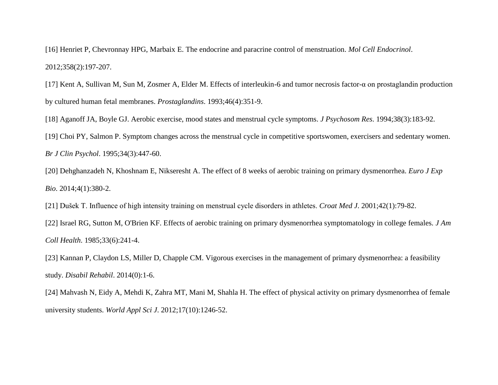[16] Henriet P, Chevronnay HPG, Marbaix E. The endocrine and paracrine control of menstruation. *Mol Cell Endocrinol*. 2012;358(2):197-207.

[17] Kent A, Sullivan M, Sun M, Zosmer A, Elder M. Effects of interleukin-6 and tumor necrosis factor-α on prostaglandin production by cultured human fetal membranes. *Prostaglandins*. 1993;46(4):351-9.

[18] Aganoff JA, Boyle GJ. Aerobic exercise, mood states and menstrual cycle symptoms. *J Psychosom Res*. 1994;38(3):183-92.

[19] Choi PY, Salmon P. Symptom changes across the menstrual cycle in competitive sportswomen, exercisers and sedentary women. *Br J Clin Psychol*. 1995;34(3):447-60.

[20] Dehghanzadeh N, Khoshnam E, Nikseresht A. The effect of 8 weeks of aerobic training on primary dysmenorrhea. *Euro J Exp Bio*. 2014;4(1):380-2.

[21] Dušek T. Influence of high intensity training on menstrual cycle disorders in athletes. *Croat Med J*. 2001;42(1):79-82.

[22] Israel RG, Sutton M, O'Brien KF. Effects of aerobic training on primary dysmenorrhea symptomatology in college females. *J Am Coll Health*. 1985;33(6):241-4.

[23] Kannan P, Claydon LS, Miller D, Chapple CM. Vigorous exercises in the management of primary dysmenorrhea: a feasibility study. *Disabil Rehabil*. 2014(0):1-6.

[24] Mahvash N, Eidy A, Mehdi K, Zahra MT, Mani M, Shahla H. The effect of physical activity on primary dysmenorrhea of female university students. *World Appl Sci J*. 2012;17(10):1246-52.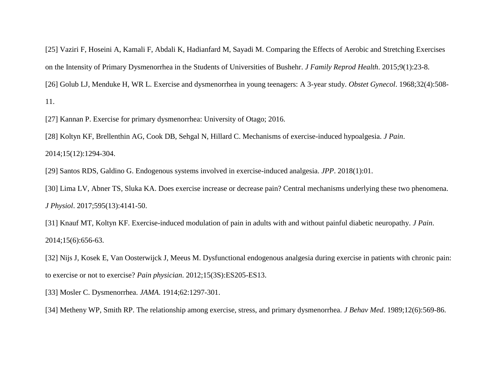[25] Vaziri F, Hoseini A, Kamali F, Abdali K, Hadianfard M, Sayadi M. Comparing the Effects of Aerobic and Stretching Exercises on the Intensity of Primary Dysmenorrhea in the Students of Universities of Bushehr. *J Family Reprod Health*. 2015;9(1):23-8. [26] Golub LJ, Menduke H, WR L. Exercise and dysmenorrhea in young teenagers: A 3-year study. *Obstet Gynecol*. 1968;32(4):508- 11.

[27] Kannan P. Exercise for primary dysmenorrhea: University of Otago; 2016.

[28] Koltyn KF, Brellenthin AG, Cook DB, Sehgal N, Hillard C. Mechanisms of exercise-induced hypoalgesia. *J Pain*. 2014;15(12):1294-304.

[29] Santos RDS, Galdino G. Endogenous systems involved in exercise-induced analgesia. *JPP*. 2018(1):01.

[30] Lima LV, Abner TS, Sluka KA. Does exercise increase or decrease pain? Central mechanisms underlying these two phenomena. *J Physiol*. 2017;595(13):4141-50.

[31] Knauf MT, Koltyn KF. Exercise-induced modulation of pain in adults with and without painful diabetic neuropathy. *J Pain*. 2014;15(6):656-63.

[32] Nijs J, Kosek E, Van Oosterwijck J, Meeus M. Dysfunctional endogenous analgesia during exercise in patients with chronic pain: to exercise or not to exercise? *Pain physician*. 2012;15(3S):ES205-ES13.

[33] Mosler C. Dysmenorrhea. *JAMA*. 1914;62:1297-301.

[34] Metheny WP, Smith RP. The relationship among exercise, stress, and primary dysmenorrhea. *J Behav Med*. 1989;12(6):569-86.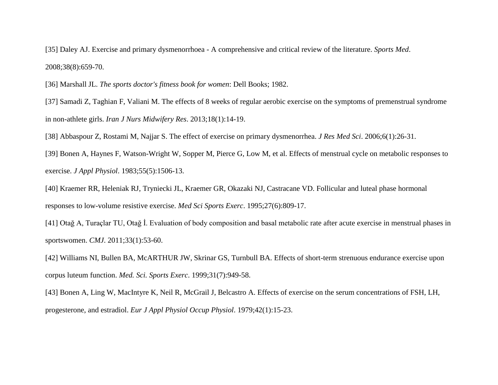[35] Daley AJ. Exercise and primary dysmenorrhoea - A comprehensive and critical review of the literature. *Sports Med*. 2008;38(8):659-70.

[36] Marshall JL. *The sports doctor's fitness book for women*: Dell Books; 1982.

[37] Samadi Z, Taghian F, Valiani M. The effects of 8 weeks of regular aerobic exercise on the symptoms of premenstrual syndrome in non-athlete girls. *Iran J Nurs Midwifery Res*. 2013;18(1):14-19.

[38] Abbaspour Z, Rostami M, Najjar S. The effect of exercise on primary dysmenorrhea. *J Res Med Sci*. 2006;6(1):26-31.

[39] Bonen A, Haynes F, Watson-Wright W, Sopper M, Pierce G, Low M, et al. Effects of menstrual cycle on metabolic responses to exercise. *J Appl Physiol*. 1983;55(5):1506-13.

[40] Kraemer RR, Heleniak RJ, Tryniecki JL, Kraemer GR, Okazaki NJ, Castracane VD. Follicular and luteal phase hormonal responses to low-volume resistive exercise. *Med Sci Sports Exerc*. 1995;27(6):809-17.

[41] Otağ A, Turaçlar TU, Otağ İ. Evaluation of body composition and basal metabolic rate after acute exercise in menstrual phases in sportswomen. *CMJ*. 2011;33(1):53-60.

[42] Williams NI, Bullen BA, McARTHUR JW, Skrinar GS, Turnbull BA. Effects of short-term strenuous endurance exercise upon corpus luteum function. *Med. Sci. Sports Exerc*. 1999;31(7):949-58.

[43] Bonen A, Ling W, MacIntyre K, Neil R, McGrail J, Belcastro A. Effects of exercise on the serum concentrations of FSH, LH, progesterone, and estradiol. *Eur J Appl Physiol Occup Physiol*. 1979;42(1):15-23.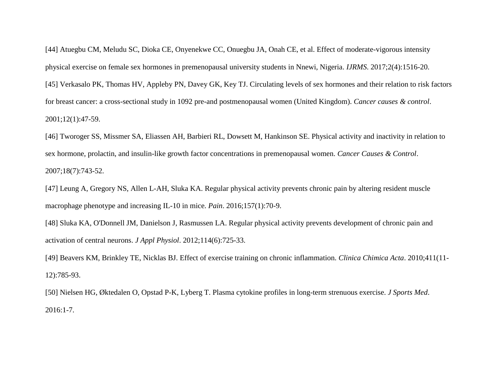[44] Atuegbu CM, Meludu SC, Dioka CE, Onyenekwe CC, Onuegbu JA, Onah CE, et al. Effect of moderate-vigorous intensity physical exercise on female sex hormones in premenopausal university students in Nnewi, Nigeria. *IJRMS*. 2017;2(4):1516-20. [45] Verkasalo PK, Thomas HV, Appleby PN, Davey GK, Key TJ. Circulating levels of sex hormones and their relation to risk factors for breast cancer: a cross-sectional study in 1092 pre-and postmenopausal women (United Kingdom). *Cancer causes & control*. 2001;12(1):47-59.

[46] Tworoger SS, Missmer SA, Eliassen AH, Barbieri RL, Dowsett M, Hankinson SE. Physical activity and inactivity in relation to sex hormone, prolactin, and insulin-like growth factor concentrations in premenopausal women. *Cancer Causes & Control*. 2007;18(7):743-52.

[47] Leung A, Gregory NS, Allen L-AH, Sluka KA. Regular physical activity prevents chronic pain by altering resident muscle macrophage phenotype and increasing IL-10 in mice. *Pain*. 2016;157(1):70-9.

[48] Sluka KA, O'Donnell JM, Danielson J, Rasmussen LA. Regular physical activity prevents development of chronic pain and activation of central neurons. *J Appl Physiol*. 2012;114(6):725-33.

[49] Beavers KM, Brinkley TE, Nicklas BJ. Effect of exercise training on chronic inflammation. *Clinica Chimica Acta*. 2010;411(11- 12):785-93.

[50] Nielsen HG, Øktedalen O, Opstad P-K, Lyberg T. Plasma cytokine profiles in long-term strenuous exercise. *J Sports Med*. 2016:1-7.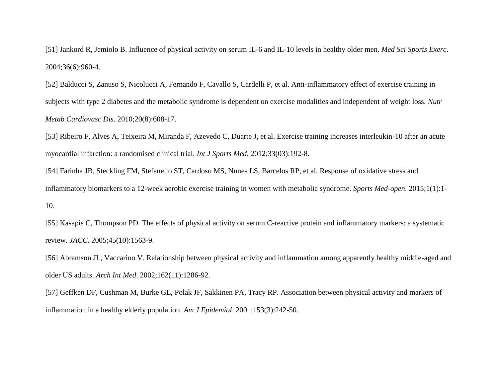[51] Jankord R, Jemiolo B. Influence of physical activity on serum IL-6 and IL-10 levels in healthy older men. *Med Sci Sports Exerc*. 2004;36(6):960-4.

[52] Balducci S, Zanuso S, Nicolucci A, Fernando F, Cavallo S, Cardelli P, et al. Anti-inflammatory effect of exercise training in subjects with type 2 diabetes and the metabolic syndrome is dependent on exercise modalities and independent of weight loss. *Nutr Metab Cardiovasc Dis*. 2010;20(8):608-17.

[53] Ribeiro F, Alves A, Teixeira M, Miranda F, Azevedo C, Duarte J, et al. Exercise training increases interleukin-10 after an acute myocardial infarction: a randomised clinical trial. *Int J Sports Med*. 2012;33(03):192-8.

[54] Farinha JB, Steckling FM, Stefanello ST, Cardoso MS, Nunes LS, Barcelos RP, et al. Response of oxidative stress and inflammatory biomarkers to a 12-week aerobic exercise training in women with metabolic syndrome. *Sports Med-open*. 2015;1(1):1- 10.

[55] Kasapis C, Thompson PD. The effects of physical activity on serum C-reactive protein and inflammatory markers: a systematic review. *JACC*. 2005;45(10):1563-9.

[56] Abramson JL, Vaccarino V. Relationship between physical activity and inflammation among apparently healthy middle-aged and older US adults. *Arch Int Med*. 2002;162(11):1286-92.

[57] Geffken DF, Cushman M, Burke GL, Polak JF, Sakkinen PA, Tracy RP. Association between physical activity and markers of inflammation in a healthy elderly population. *Am J Epidemiol*. 2001;153(3):242-50.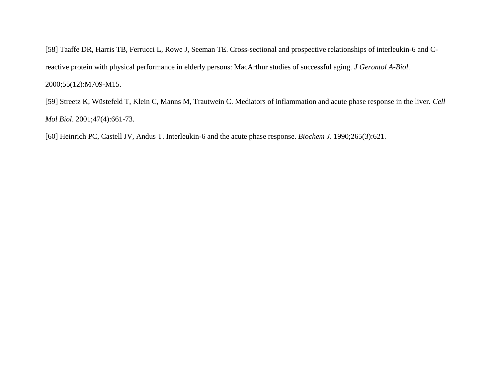[58] Taaffe DR, Harris TB, Ferrucci L, Rowe J, Seeman TE. Cross-sectional and prospective relationships of interleukin-6 and Creactive protein with physical performance in elderly persons: MacArthur studies of successful aging. *J Gerontol A-Biol*. 2000;55(12):M709-M15.

[59] Streetz K, Wüstefeld T, Klein C, Manns M, Trautwein C. Mediators of inflammation and acute phase response in the liver. *Cell Mol Biol*. 2001;47(4):661-73.

[60] Heinrich PC, Castell JV, Andus T. Interleukin-6 and the acute phase response. *Biochem J*. 1990;265(3):621.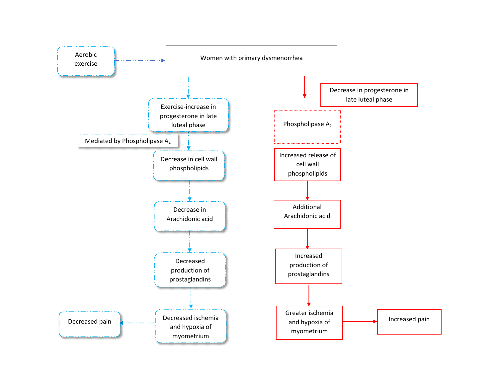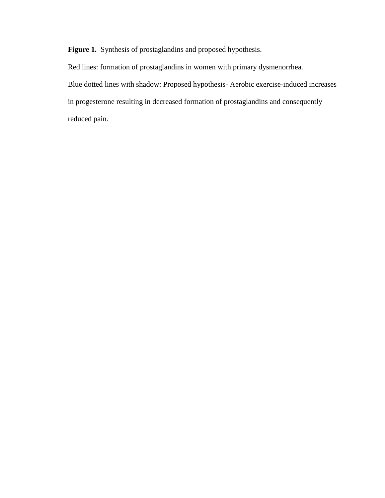**Figure 1.** Synthesis of prostaglandins and proposed hypothesis.

Red lines: formation of prostaglandins in women with primary dysmenorrhea. Blue dotted lines with shadow: Proposed hypothesis- Aerobic exercise-induced increases in progesterone resulting in decreased formation of prostaglandins and consequently reduced pain.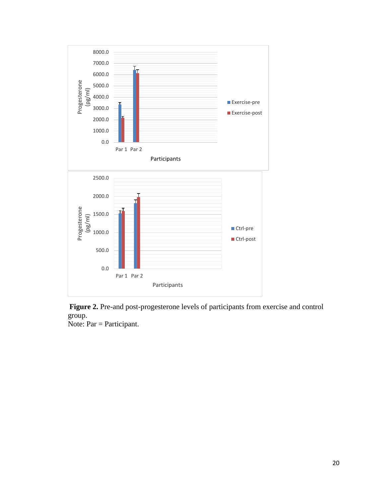



Note: Par = Participant.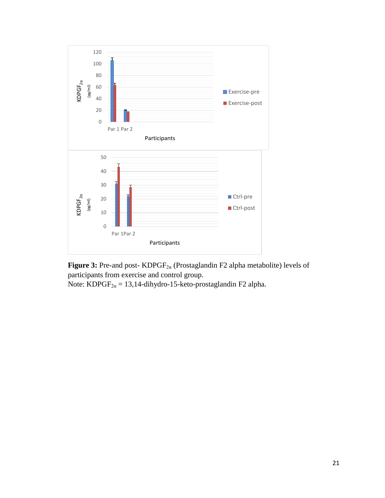



Note: KDPGF<sub>2 $\alpha$ </sub> = 13,14-dihydro-15-keto-prostaglandin F2 alpha.